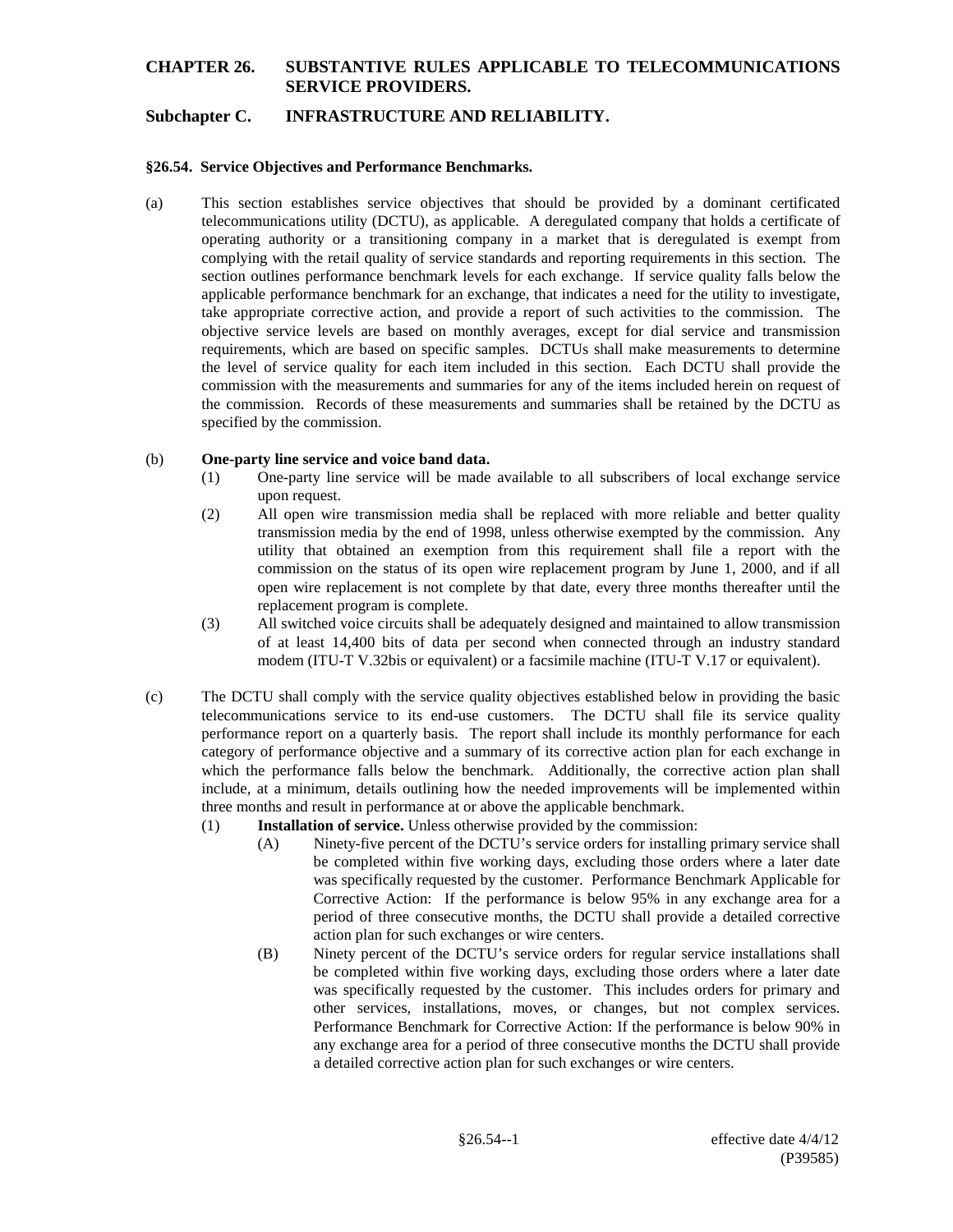### **Subchapter C. INFRASTRUCTURE AND RELIABILITY.**

#### **§26.54. Service Objectives and Performance Benchmarks.**

(a) This section establishes service objectives that should be provided by a dominant certificated telecommunications utility (DCTU), as applicable. A deregulated company that holds a certificate of operating authority or a transitioning company in a market that is deregulated is exempt from complying with the retail quality of service standards and reporting requirements in this section. The section outlines performance benchmark levels for each exchange. If service quality falls below the applicable performance benchmark for an exchange, that indicates a need for the utility to investigate, take appropriate corrective action, and provide a report of such activities to the commission. The objective service levels are based on monthly averages, except for dial service and transmission requirements, which are based on specific samples. DCTUs shall make measurements to determine the level of service quality for each item included in this section. Each DCTU shall provide the commission with the measurements and summaries for any of the items included herein on request of the commission. Records of these measurements and summaries shall be retained by the DCTU as specified by the commission.

#### (b) **One-party line service and voice band data.**

- (1) One-party line service will be made available to all subscribers of local exchange service upon request.
- (2) All open wire transmission media shall be replaced with more reliable and better quality transmission media by the end of 1998, unless otherwise exempted by the commission. Any utility that obtained an exemption from this requirement shall file a report with the commission on the status of its open wire replacement program by June 1, 2000, and if all open wire replacement is not complete by that date, every three months thereafter until the replacement program is complete.
- (3) All switched voice circuits shall be adequately designed and maintained to allow transmission of at least 14,400 bits of data per second when connected through an industry standard modem (ITU-T V.32bis or equivalent) or a facsimile machine (ITU-T V.17 or equivalent).
- (c) The DCTU shall comply with the service quality objectives established below in providing the basic telecommunications service to its end-use customers. The DCTU shall file its service quality performance report on a quarterly basis. The report shall include its monthly performance for each category of performance objective and a summary of its corrective action plan for each exchange in which the performance falls below the benchmark. Additionally, the corrective action plan shall include, at a minimum, details outlining how the needed improvements will be implemented within three months and result in performance at or above the applicable benchmark.
	- (1) **Installation of service.** Unless otherwise provided by the commission:
		- (A) Ninety-five percent of the DCTU's service orders for installing primary service shall be completed within five working days, excluding those orders where a later date was specifically requested by the customer. Performance Benchmark Applicable for Corrective Action: If the performance is below 95% in any exchange area for a period of three consecutive months, the DCTU shall provide a detailed corrective action plan for such exchanges or wire centers.
		- (B) Ninety percent of the DCTU's service orders for regular service installations shall be completed within five working days, excluding those orders where a later date was specifically requested by the customer. This includes orders for primary and other services, installations, moves, or changes, but not complex services. Performance Benchmark for Corrective Action: If the performance is below 90% in any exchange area for a period of three consecutive months the DCTU shall provide a detailed corrective action plan for such exchanges or wire centers.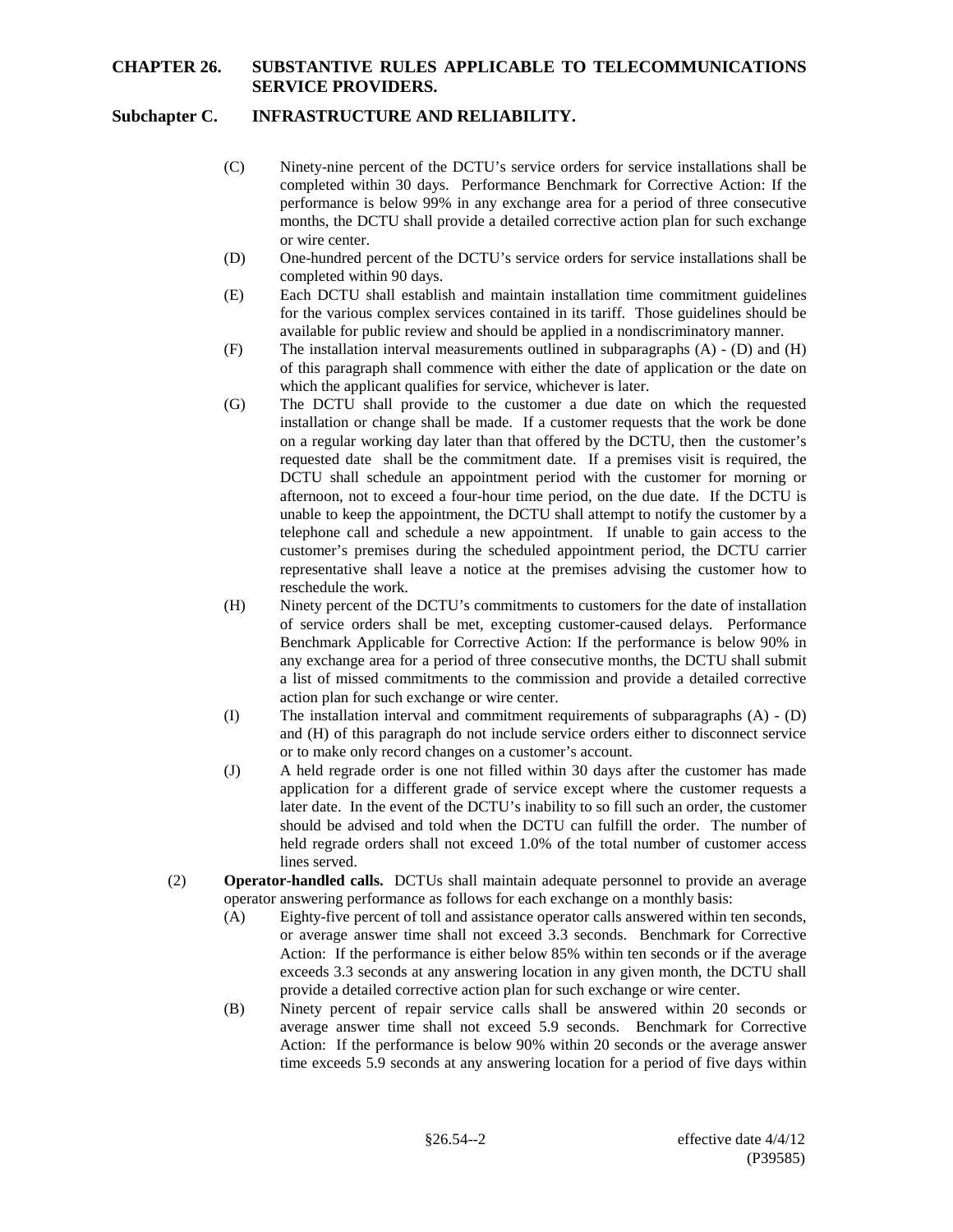# **Subchapter C. INFRASTRUCTURE AND RELIABILITY.**

- (C) Ninety-nine percent of the DCTU's service orders for service installations shall be completed within 30 days. Performance Benchmark for Corrective Action: If the performance is below 99% in any exchange area for a period of three consecutive months, the DCTU shall provide a detailed corrective action plan for such exchange or wire center.
- (D) One-hundred percent of the DCTU's service orders for service installations shall be completed within 90 days.
- (E) Each DCTU shall establish and maintain installation time commitment guidelines for the various complex services contained in its tariff. Those guidelines should be available for public review and should be applied in a nondiscriminatory manner.
- (F) The installation interval measurements outlined in subparagraphs (A) (D) and (H) of this paragraph shall commence with either the date of application or the date on which the applicant qualifies for service, whichever is later.
- (G) The DCTU shall provide to the customer a due date on which the requested installation or change shall be made. If a customer requests that the work be done on a regular working day later than that offered by the DCTU, then the customer's requested date shall be the commitment date. If a premises visit is required, the DCTU shall schedule an appointment period with the customer for morning or afternoon, not to exceed a four-hour time period, on the due date. If the DCTU is unable to keep the appointment, the DCTU shall attempt to notify the customer by a telephone call and schedule a new appointment. If unable to gain access to the customer's premises during the scheduled appointment period, the DCTU carrier representative shall leave a notice at the premises advising the customer how to reschedule the work.
- (H) Ninety percent of the DCTU's commitments to customers for the date of installation of service orders shall be met, excepting customer-caused delays. Performance Benchmark Applicable for Corrective Action: If the performance is below 90% in any exchange area for a period of three consecutive months, the DCTU shall submit a list of missed commitments to the commission and provide a detailed corrective action plan for such exchange or wire center.
- (I) The installation interval and commitment requirements of subparagraphs (A) (D) and (H) of this paragraph do not include service orders either to disconnect service or to make only record changes on a customer's account.
- (J) A held regrade order is one not filled within 30 days after the customer has made application for a different grade of service except where the customer requests a later date. In the event of the DCTU's inability to so fill such an order, the customer should be advised and told when the DCTU can fulfill the order. The number of held regrade orders shall not exceed 1.0% of the total number of customer access lines served.
- (2) **Operator-handled calls.** DCTUs shall maintain adequate personnel to provide an average operator answering performance as follows for each exchange on a monthly basis:
	- (A) Eighty-five percent of toll and assistance operator calls answered within ten seconds, or average answer time shall not exceed 3.3 seconds. Benchmark for Corrective Action: If the performance is either below 85% within ten seconds or if the average exceeds 3.3 seconds at any answering location in any given month, the DCTU shall provide a detailed corrective action plan for such exchange or wire center.
	- (B) Ninety percent of repair service calls shall be answered within 20 seconds or average answer time shall not exceed 5.9 seconds. Benchmark for Corrective Action: If the performance is below 90% within 20 seconds or the average answer time exceeds 5.9 seconds at any answering location for a period of five days within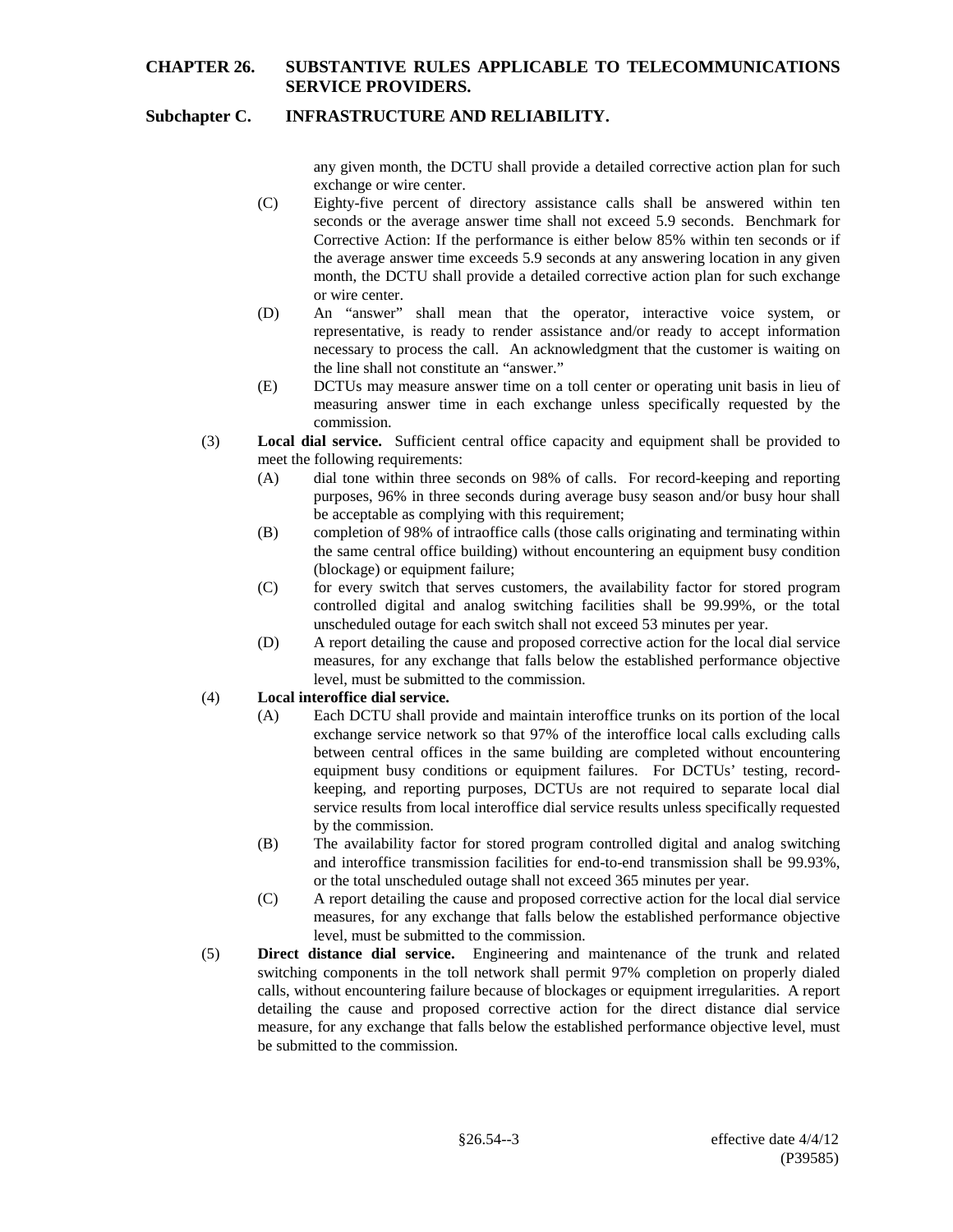# **Subchapter C. INFRASTRUCTURE AND RELIABILITY.**

any given month, the DCTU shall provide a detailed corrective action plan for such exchange or wire center.

- (C) Eighty-five percent of directory assistance calls shall be answered within ten seconds or the average answer time shall not exceed 5.9 seconds. Benchmark for Corrective Action: If the performance is either below 85% within ten seconds or if the average answer time exceeds 5.9 seconds at any answering location in any given month, the DCTU shall provide a detailed corrective action plan for such exchange or wire center.
- (D) An "answer" shall mean that the operator, interactive voice system, or representative, is ready to render assistance and/or ready to accept information necessary to process the call. An acknowledgment that the customer is waiting on the line shall not constitute an "answer."
- (E) DCTUs may measure answer time on a toll center or operating unit basis in lieu of measuring answer time in each exchange unless specifically requested by the commission.
- (3) **Local dial service.** Sufficient central office capacity and equipment shall be provided to meet the following requirements:
	- (A) dial tone within three seconds on 98% of calls. For record-keeping and reporting purposes, 96% in three seconds during average busy season and/or busy hour shall be acceptable as complying with this requirement;
	- (B) completion of 98% of intraoffice calls (those calls originating and terminating within the same central office building) without encountering an equipment busy condition (blockage) or equipment failure;
	- (C) for every switch that serves customers, the availability factor for stored program controlled digital and analog switching facilities shall be 99.99%, or the total unscheduled outage for each switch shall not exceed 53 minutes per year.
	- (D) A report detailing the cause and proposed corrective action for the local dial service measures, for any exchange that falls below the established performance objective level, must be submitted to the commission.

#### (4) **Local interoffice dial service.**

- (A) Each DCTU shall provide and maintain interoffice trunks on its portion of the local exchange service network so that 97% of the interoffice local calls excluding calls between central offices in the same building are completed without encountering equipment busy conditions or equipment failures. For DCTUs' testing, recordkeeping, and reporting purposes, DCTUs are not required to separate local dial service results from local interoffice dial service results unless specifically requested by the commission.
- (B) The availability factor for stored program controlled digital and analog switching and interoffice transmission facilities for end-to-end transmission shall be 99.93%, or the total unscheduled outage shall not exceed 365 minutes per year.
- (C) A report detailing the cause and proposed corrective action for the local dial service measures, for any exchange that falls below the established performance objective level, must be submitted to the commission.
- (5) **Direct distance dial service.** Engineering and maintenance of the trunk and related switching components in the toll network shall permit 97% completion on properly dialed calls, without encountering failure because of blockages or equipment irregularities. A report detailing the cause and proposed corrective action for the direct distance dial service measure, for any exchange that falls below the established performance objective level, must be submitted to the commission.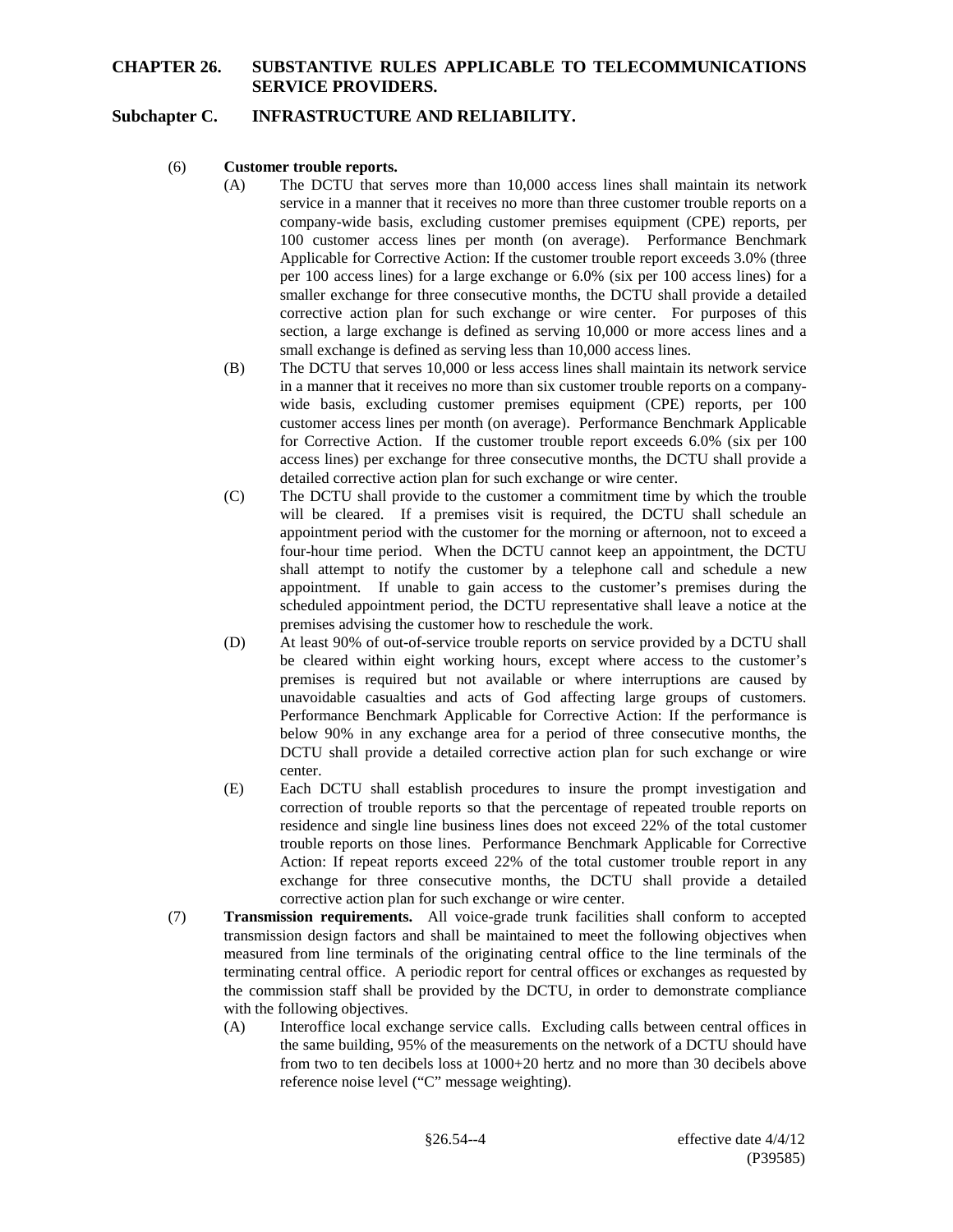### **Subchapter C. INFRASTRUCTURE AND RELIABILITY.**

- (6) **Customer trouble reports.**
	- (A) The DCTU that serves more than 10,000 access lines shall maintain its network service in a manner that it receives no more than three customer trouble reports on a company-wide basis, excluding customer premises equipment (CPE) reports, per 100 customer access lines per month (on average). Performance Benchmark Applicable for Corrective Action: If the customer trouble report exceeds 3.0% (three per 100 access lines) for a large exchange or 6.0% (six per 100 access lines) for a smaller exchange for three consecutive months, the DCTU shall provide a detailed corrective action plan for such exchange or wire center. For purposes of this section, a large exchange is defined as serving 10,000 or more access lines and a small exchange is defined as serving less than 10,000 access lines.
	- (B) The DCTU that serves 10,000 or less access lines shall maintain its network service in a manner that it receives no more than six customer trouble reports on a companywide basis, excluding customer premises equipment (CPE) reports, per 100 customer access lines per month (on average). Performance Benchmark Applicable for Corrective Action. If the customer trouble report exceeds 6.0% (six per 100 access lines) per exchange for three consecutive months, the DCTU shall provide a detailed corrective action plan for such exchange or wire center.
	- (C) The DCTU shall provide to the customer a commitment time by which the trouble will be cleared. If a premises visit is required, the DCTU shall schedule an appointment period with the customer for the morning or afternoon, not to exceed a four-hour time period. When the DCTU cannot keep an appointment, the DCTU shall attempt to notify the customer by a telephone call and schedule a new appointment. If unable to gain access to the customer's premises during the scheduled appointment period, the DCTU representative shall leave a notice at the premises advising the customer how to reschedule the work.
	- (D) At least 90% of out-of-service trouble reports on service provided by a DCTU shall be cleared within eight working hours, except where access to the customer's premises is required but not available or where interruptions are caused by unavoidable casualties and acts of God affecting large groups of customers. Performance Benchmark Applicable for Corrective Action: If the performance is below 90% in any exchange area for a period of three consecutive months, the DCTU shall provide a detailed corrective action plan for such exchange or wire center.
	- (E) Each DCTU shall establish procedures to insure the prompt investigation and correction of trouble reports so that the percentage of repeated trouble reports on residence and single line business lines does not exceed 22% of the total customer trouble reports on those lines. Performance Benchmark Applicable for Corrective Action: If repeat reports exceed 22% of the total customer trouble report in any exchange for three consecutive months, the DCTU shall provide a detailed corrective action plan for such exchange or wire center.
- (7) **Transmission requirements.** All voice-grade trunk facilities shall conform to accepted transmission design factors and shall be maintained to meet the following objectives when measured from line terminals of the originating central office to the line terminals of the terminating central office. A periodic report for central offices or exchanges as requested by the commission staff shall be provided by the DCTU, in order to demonstrate compliance with the following objectives.
	- (A) Interoffice local exchange service calls. Excluding calls between central offices in the same building, 95% of the measurements on the network of a DCTU should have from two to ten decibels loss at 1000+20 hertz and no more than 30 decibels above reference noise level ("C" message weighting).